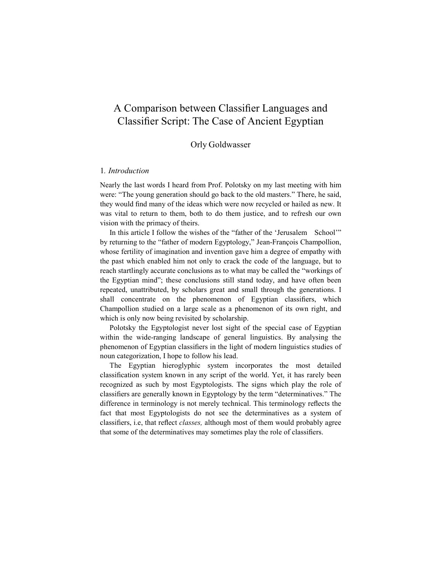# A Comparison between Classifier Languages and Classifier Script: The Case of Ancient Egyptian

# Orly Goldwasser

# 1. Introduction

Nearly the last words I heard from Prof. Polotsky on my last meeting with him were: "The young generation should go back to the old masters." There, he said, they would find many of the ideas which were now recycled or hailed as new. It was vital to return to them, both to do them justice, and to refresh our own vision with the primacy of theirs.

In this article I follow the wishes of the "father of the 'Jerusalem School'" by returning to the "father of modern Egyptology," Jean-François Champollion, whose fertility of imagination and invention gave him a degree of empathy with the past which enabled him not only to crack the code of the language, but to reach startlingly accurate conclusions as to what may be called the "workings of the Egyptian mind"; these conclusions still stand today, and have often been repeated, unattributed, by scholars great and small through the generations. I shall concentrate on the phenomenon of Egyptian classifiers, which Champollion studied on a large scale as a phenomenon of its own right, and which is only now being revisited by scholarship.

Polotsky the Egyptologist never lost sight of the special case of Egyptian within the wide-ranging landscape of general linguistics. By analysing the phenomenon of Egyptian classifiers in the light of modern linguistics studies of noun categorization, I hope to follow his lead.

The Egyptian hieroglyphic system incorporates the most detailed classification system known in any script of the world. Yet, it has rarely been recognized as such by most Egyptologists. The signs which play the role of classifiers are generally known in Egyptology by the term "determinatives." The difference in terminology is not merely technical. This terminology reflects the fact that most Egyptologists do not see the determinatives as a system of classifiers, i.e, that reflect *classes*, although most of them would probably agree that some of the determinatives may sometimes play the role of classifiers.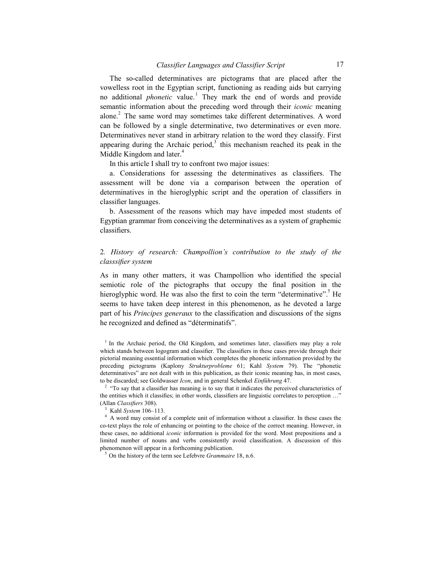The so-called determinatives are pictograms that are placed after the vowelless root in the Egyptian script, functioning as reading aids but carrying no additional *phonetic* value.<sup>1</sup> They mark the end of words and provide semantic information about the preceding word through their *iconic* meaning alone.<sup>2</sup> The same word may sometimes take different determinatives. A word can be followed by a single determinative, two determinatives or even more. Determinatives never stand in arbitrary relation to the word they classify. First appearing during the Archaic period, $3$  this mechanism reached its peak in the Middle Kingdom and later.<sup>4</sup>

In this article I shall try to confront two major issues:

a. Considerations for assessing the determinatives as classifiers. The assessment will be done via a comparison between the operation of determinatives in the hieroglyphic script and the operation of classifiers in classifier languages.

b. Assessment of the reasons which may have impeded most students of Egyptian grammar from conceiving the determinatives as a system of graphemic classifiers.

# 2. History of research: Champollion's contribution to the study of the classsifier system

As in many other matters, it was Champollion who identified the special semiotic role of the pictographs that occupy the final position in the hieroglyphic word. He was also the first to coin the term "determinative".<sup>5</sup> He seems to have taken deep interest in this phenomenon, as he devoted a large part of his Principes generaux to the classification and discussions of the signs he recognized and defined as "déterminatifs".

<sup>&</sup>lt;sup>1</sup> In the Archaic period, the Old Kingdom, and sometimes later, classifiers may play a role which stands between logogram and classifier. The classifiers in these cases provide through their pictorial meaning essential information which completes the phonetic information provided by the preceding pictograms (Kaplony Strukturprobleme 61; Kahl System 79). The "phonetic determinatives" are not dealt with in this publication, as their iconic meaning has, in most cases, to be discarded; see Goldwasser Icon, and in general Schenkel Einführung 47.

 $2^{\circ}$  "To say that a classifier has meaning is to say that it indicates the perceived characteristics of the entities which it classifies; in other words, classifiers are linguistic correlates to perception …" (Allan Classifiers 308).

<sup>&</sup>lt;sup>3</sup> Kahl System 106-113.

<sup>&</sup>lt;sup>4</sup> A word may consist of a complete unit of information without a classifier. In these cases the co-text plays the role of enhancing or pointing to the choice of the correct meaning. However, in these cases, no additional *iconic* information is provided for the word. Most prepositions and a limited number of nouns and verbs consistently avoid classification. A discussion of this phenomenon will appear in a forthcoming publication.

 $5$  On the history of the term see Lefebvre *Grammaire* 18, n.6.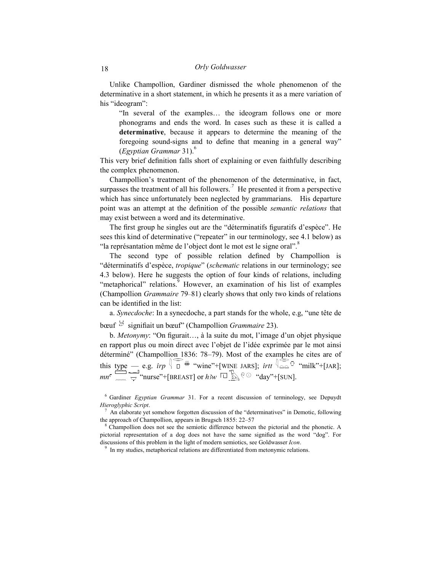#### 18 Orly Goldwasser

Unlike Champollion, Gardiner dismissed the whole phenomenon of the determinative in a short statement, in which he presents it as a mere variation of his "ideogram":

"In several of the examples… the ideogram follows one or more phonograms and ends the word. In cases such as these it is called a determinative, because it appears to determine the meaning of the foregoing sound-signs and to define that meaning in a general way"  $(Eg$ yptian Grammar 31).<sup>6</sup>

This very brief definition falls short of explaining or even faithfully describing the complex phenomenon.

Champollion's treatment of the phenomenon of the determinative, in fact, surpasses the treatment of all his followers.<sup>7</sup> He presented it from a perspective which has since unfortunately been neglected by grammarians. His departure point was an attempt at the definition of the possible *semantic relations* that may exist between a word and its determinative.

The first group he singles out are the "déterminatifs figuratifs d'espèce". He sees this kind of determinative ("repeater" in our terminology, see 4.1 below) as "la représantation même de l'object dont le mot est le signe oral".<sup>8</sup>

The second type of possible relation defined by Champollion is "déterminatifs d'espèce, tropique" (schematic relations in our terminology; see 4.3 below). Here he suggests the option of four kinds of relations, including "metaphorical" relations.<sup>9</sup> However, an examination of his list of examples (Champollion Grammaire 79–81) clearly shows that only two kinds of relations can be identified in the list:

a. Synecdoche: In a synecdoche, a part stands for the whole, e.g, "une tête de bœuf  $\mathcal{B}$  signifiait un bœuf" (Champollion *Grammaire* 23).

b. Metonymy: "On figurait…, à la suite du mot, l'image d'un objet physique en rapport plus ou moin direct avec l'objet de l'idée exprimée par le mot ainsi déterminé" (Champollion 1836: 78–79). Most of the examples he cites are of this type — e.g. irp  $\P$   $\Box$   $\overset{\#}{\leftrightarrow}$  "wine"+[WINE JARS]; irtt  $\P$  $\triangle \Delta$  "milk"+[JAR];  $mn^c \equiv \qquad \qquad \qquad \qquad$  "nurse"+[BREAST] or  $h3w^{-1}$   $\Box$   $\qquad^{Q\odot}$  "day"+[SUN].

<sup>&</sup>lt;sup>6</sup> Gardiner Egyptian Grammar 31. For a recent discussion of terminology, see Depuydt Hieroglyphic Script.

<sup>7</sup> An elaborate yet somehow forgotten discussion of the "determinatives" in Demotic, following the approach of Champollion, appears in Brugsch 1855: 22–57

<sup>&</sup>lt;sup>8</sup> Champollion does not see the semiotic difference between the pictorial and the phonetic. A pictorial representation of a dog does not have the same signified as the word "dog". For discussions of this problem in the light of modern semiotics, see Goldwasser Icon.

<sup>&</sup>lt;sup>9</sup> In my studies, metaphorical relations are differentiated from metonymic relations.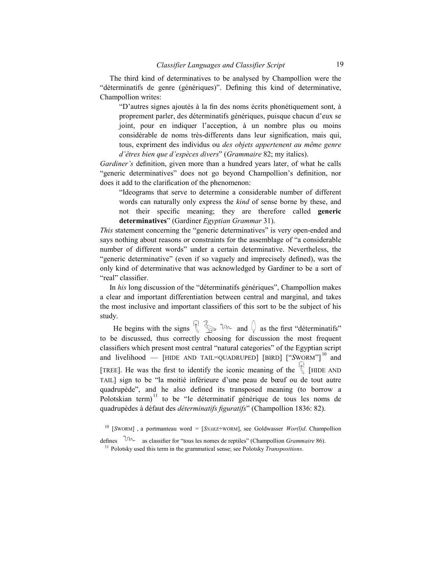The third kind of determinatives to be analysed by Champollion were the "déterminatifs de genre (génériques)". Defining this kind of determinative, Champollion writes:

"D'autres signes ajoutés à la fin des noms écrits phonétiquement sont, à proprement parler, des déterminatifs génériques, puisque chacun d'eux se joint, pour en indiquer l'acception, à un nombre plus ou moins considérable de noms très-differents dans leur signification, mais qui, tous, expriment des individus ou des objets appertenent au même genre d'êtres bien que d'espèces divers" (Grammaire 82; my italics).

Gardiner's definition, given more than a hundred years later, of what he calls "generic determinatives" does not go beyond Champollion's definition, nor does it add to the clarification of the phenomenon:

"Ideograms that serve to determine a considerable number of different words can naturally only express the kind of sense borne by these, and not their specific meaning; they are therefore called generic determinatives" (Gardiner Egyptian Grammar 31).

This statement concerning the "generic determinatives" is very open-ended and says nothing about reasons or constraints for the assemblage of "a considerable number of different words" under a certain determinative. Nevertheless, the "generic determinative" (even if so vaguely and imprecisely defined), was the only kind of determinative that was acknowledged by Gardiner to be a sort of "real" classifier.

In his long discussion of the "déterminatifs génériques", Champollion makes a clear and important differentiation between central and marginal, and takes the most inclusive and important classifiers of this sort to be the subject of his study.

He begins with the signs  $\mathbb{R}^2$  and  $\mathbb{Q}$  as the first "déterminatifs" to be discussed, thus correctly choosing for discussion the most frequent classifiers which present most central "natural categories" of the Egyptian script and livelihood — [HIDE AND TAIL=QUADRUPED] [BIRD]  $[$ "SWORM"]<sup>10</sup> and [TREE]. He was the first to identify the iconic meaning of the  $\bigwedge^{\{1\}}$  [HIDE AND TAIL] sign to be "la moitié inférieure d'une peau de bœuf ou de tout autre quadrupède", and he also defined its transposed meaning (to borrow a Polotskian term)<sup> $11$ </sup> to be "le déterminatif générique de tous les noms de quadrupèdes à défaut des *déterminatifs figuratifs*" (Champollion 1836: 82).

<sup>10</sup> [SWORM], a portmanteau word = [SNAKE+WORM], see Goldwasser  $Wor(l)d$ . Champollion

defines  $0^{10}$  as classifier for "tous les nomes de reptiles" (Champollion *Grammaire* 86). <sup>11</sup> Polotsky used this term in the grammatical sense; see Polotsky *Transpositions*.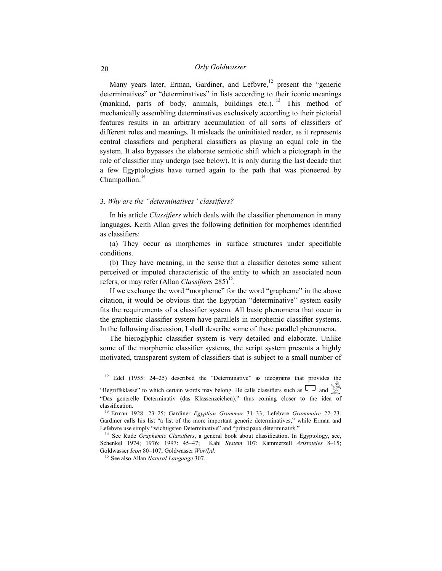# 20 Orly Goldwasser

Many years later, Erman, Gardiner, and Lefbvre,<sup>12</sup> present the "generic determinatives" or "determinatives" in lists according to their iconic meanings (mankind, parts of body, animals, buildings etc.). <sup>13</sup> This method of mechanically assembling determinatives exclusively according to their pictorial features results in an arbitrary accumulation of all sorts of classifiers of different roles and meanings. It misleads the uninitiated reader, as it represents central classifiers and peripheral classifiers as playing an equal role in the system. It also bypasses the elaborate semiotic shift which a pictograph in the role of classifier may undergo (see below). It is only during the last decade that a few Egyptologists have turned again to the path that was pioneered by Champollion.<sup>14</sup>

### 3. Why are the "determinatives" classifiers?

In his article *Classifiers* which deals with the classifier phenomenon in many languages, Keith Allan gives the following definition for morphemes identified as classifiers:

(a) They occur as morphemes in surface structures under specifiable conditions.

(b) They have meaning, in the sense that a classifier denotes some salient perceived or imputed characteristic of the entity to which an associated noun refers, or may refer (Allan *Classifiers*  $285$ )<sup>15</sup>.

If we exchange the word "morpheme" for the word "grapheme" in the above citation, it would be obvious that the Egyptian "determinative" system easily fits the requirements of a classifier system. All basic phenomena that occur in the graphemic classifier system have parallels in morphemic classifier systems. In the following discussion, I shall describe some of these parallel phenomena.

The hieroglyphic classifier system is very detailed and elaborate. Unlike some of the morphemic classifier systems, the script system presents a highly motivated, transparent system of classifiers that is subject to a small number of

<sup>12</sup> Edel (1955: 24–25) described the "Determinative" as ideograms that provides the

"Begriffsklasse" to which certain words may belong. He calls classifiers such as  $\Box$  and  $\mathbb{Z}$ "Das generelle Determinativ (das Klassenzeichen)," thus coming closer to the idea of classification.

<sup>13</sup> Erman 1928: 23-25; Gardiner Egyptian Grammar 31-33; Lefebvre Grammaire 22-23. Gardiner calls his list "a list of the more important generic determinatives," while Erman and Lefebvre use simply "wichtigsten Determinative" and "principaux déterminatifs."

<sup>14</sup> See Rude *Graphemic Classifiers*, a general book about classification. In Egyptology, see, Schenkel 1974; 1976; 1997: 45–47; Kahl System 107; Kammerzell Aristoteles 8–15; Goldwasser Icon 80-107; Goldwasser Wor(l)d.

 $15$  See also Allan *Natural Language* 307.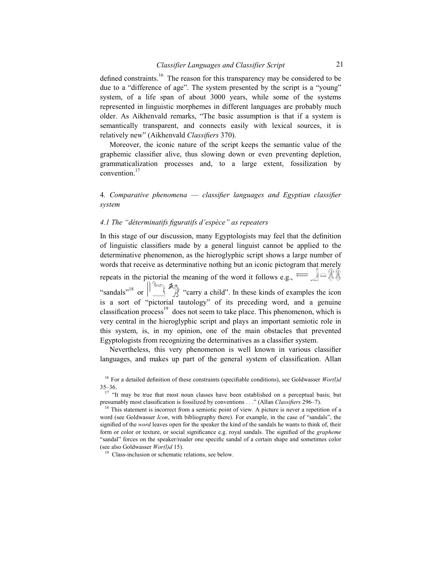defined constraints.<sup>16</sup> The reason for this transparency may be considered to be due to a "difference of age". The system presented by the script is a "young" system, of a life span of about 3000 years, while some of the systems represented in linguistic morphemes in different languages are probably much older. As Aikhenvald remarks, "The basic assumption is that if a system is semantically transparent, and connects easily with lexical sources, it is relatively new" (Aikhenvald Classifiers 370).

Moreover, the iconic nature of the script keeps the semantic value of the graphemic classifier alive, thus slowing down or even preventing depletion, grammaticalization processes and, to a large extent, fossilization by convention.<sup>17</sup>

# 4. Comparative phenomena — classifier languages and Egyptian classifier system

# 4.1 The "déterminatifs figuratifs d'espèce" as repeaters

In this stage of our discussion, many Egyptologists may feel that the definition of linguistic classifiers made by a general linguist cannot be applied to the determinative phenomenon, as the hieroglyphic script shows a large number of words that receive as determinative nothing but an iconic pictogram that merely repeats in the pictorial the meaning of the word it follows e.g.,  $\leq \leq \} \cap \mathbb{R}$ "sandals"<sup>18</sup> or  $\|$ <sub>*mm*</sub>  $\mathcal{A}$  "carry a child". In these kinds of examples the icon is a sort of "pictorial tautology" of its preceding word, and a genuine classification process<sup>19</sup> does not seem to take place. This phenomenon, which is very central in the hieroglyphic script and plays an important semiotic role in this system, is, in my opinion, one of the main obstacles that prevented Egyptologists from recognizing the determinatives as a classifier system.

Nevertheless, this very phenomenon is well known in various classifier languages, and makes up part of the general system of classification. Allan

<sup>&</sup>lt;sup>16</sup> For a detailed definition of these constraints (specifiable conditions), see Goldwasser  $Wor(l)d$ 35–36.

<sup>&</sup>lt;sup>17</sup> "It may be true that most noun classes have been established on a perceptual basis; but presumably most classification is fossilized by conventions . . ." (Allan Classifiers 296-7).

 $18$  This statement is incorrect from a semiotic point of view. A picture is never a repetition of a word (see Goldwasser *Icon*, with bibliography there). For example, in the case of "sandals", the signified of the *word* leaves open for the speaker the kind of the sandals he wants to think of, their form or color or texture, or social significance e.g. royal sandals. The signified of the *grapheme* "sandal" forces on the speaker/reader one specific sandal of a certain shape and sometimes color (see also Goldwasser Wor(l)d 15).

Class-inclusion or schematic relations, see below.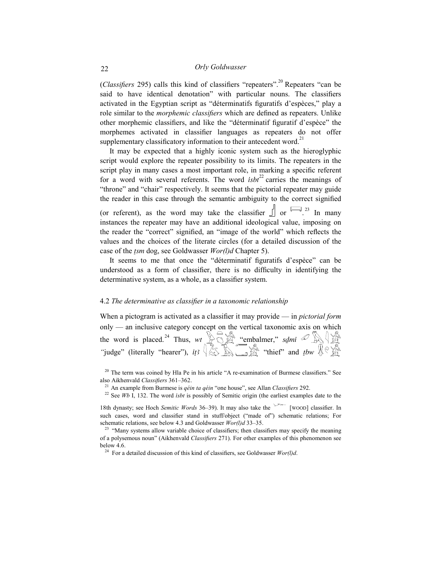(Classifiers 295) calls this kind of classifiers "repeaters".<sup>20</sup> Repeaters "can be said to have identical denotation" with particular nouns. The classifiers activated in the Egyptian script as "déterminatifs figuratifs d'espèces," play a role similar to the *morphemic classifiers* which are defined as repeaters. Unlike other morphemic classifiers, and like the "déterminatif figuratif d'espèce" the morphemes activated in classifier languages as repeaters do not offer supplementary classificatory information to their antecedent word. $21$ 

It may be expected that a highly iconic system such as the hieroglyphic script would explore the repeater possibility to its limits. The repeaters in the script play in many cases a most important role, in marking a specific referent for a word with several referents. The word  $isbt^{22}$  carries the meanings of "throne" and "chair" respectively. It seems that the pictorial repeater may guide the reader in this case through the semantic ambiguity to the correct signified (or referent), as the word may take the classifier  $\int$  or  $\int$  23 In many instances the repeater may have an additional ideological value, imposing on the reader the "correct" signified, an "image of the world" which reflects the values and the choices of the literate circles (for a detailed discussion of the case of the tsm dog, see Goldwasser Wor(l)d Chapter 5).

It seems to me that once the "déterminatif figuratifs d'espèce" can be understood as a form of classifier, there is no difficulty in identifying the determinative system, as a whole, as a classifier system.

## 4.2 The determinative as classifier in a taxonomic relationship

When a pictogram is activated as a classifier it may provide — in *pictorial form* only — an inclusive category concept on the vertical taxonomic axis on which the word is placed.<sup>24</sup> Thus, wt  $\sum_{k=1}^{\infty} \sum_{k=1}^{\infty} \sum_{k=1}^{\infty}$  "embalmer," sdmi  $\mathscr{D}$   $\mathbb{R}$   $\mathbb{R}$ "<br>"judge" (literally "hearer"), its  $\sqrt{\mathbb{Z}}$   $\mathbb{R}$  "thief" and thw  $\mathbb{R}^{\mathbb{Q}}$ "judge" (literally "hearer"), its  $\sqrt{\frac{2}{5}}$ 

<sup>&</sup>lt;sup>20</sup> The term was coined by Hla Pe in his article "A re-examination of Burmese classifiers." See also Aikhenvald Classifiers 361–362.

<sup>&</sup>lt;sup>21</sup> An example from Burmese is *qéin ta qéin* "one house", see Allan *Classifiers* 292.

<sup>&</sup>lt;sup>22</sup> See Wb I, 132. The word *isbt* is possibly of Semitic origin (the earliest examples date to the

<sup>18</sup>th dynasty; see Hoch Semitic Words 36–39). It may also take the  $\sim$  [WOOD] classifier. In such cases, word and classifier stand in stuff/object ("made of") schematic relations; For schematic relations, see below 4.3 and Goldwasser Wor(l)d 33-35.

<sup>&</sup>lt;sup>23</sup> "Many systems allow variable choice of classifiers; then classifiers may specify the meaning of a polysemous noun" (Aikhenvald *Classifiers* 271). For other examples of this phenomenon see below 4.6.

<sup>&</sup>lt;sup>24</sup> For a detailed discussion of this kind of classifiers, see Goldwasser  $Wor(l)d$ .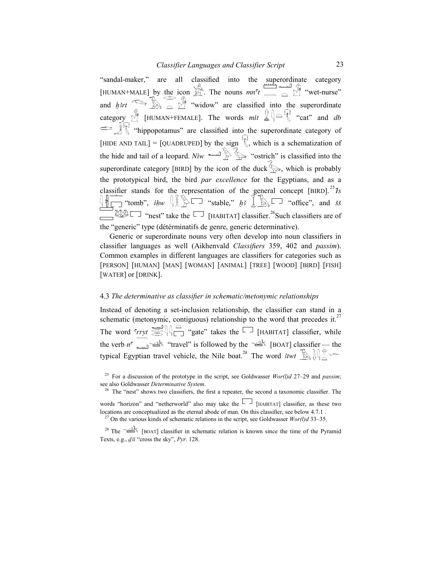"sandal-maker," are all classified into the superordinate category [HUMAN+MALE] by the icon  $\mathbb{H}^n$ . The nouns  $mn^c t \sim \mathbb{I}^n$  "wet-nurse" and  $h^{3}$ rt  $\bigotimes_{n=1}^{\infty}$   $\bigotimes_{n=1}^{\infty}$  "widow" are classified into the superordinate category  $\mathbb{R}$  [HUMAN+FEMALE]. The words mit  $\mathbb{Q} \setminus \cap \mathbb{R}$  "cat" and db "hippopotamus" are classified into the superordinate category of [HIDE AND TAIL] = [QUADRUPED] by the sign  $\mathbb{R}$ , which is a schematization of the hide and tail of a leopard. Niw "ostrich" is classified into the superordinate category [BIRD] by the icon of the duck  $\lessgtr$ , which is probably the prototypical bird, the bird par excellence for the Egyptians, and as a classifier stands for the representation of the general concept [BIRD].<sup>25</sup> Is  $\left\{\Vert \prod_{i=1}^{n}$  "tomb", *ihw*  $\left\{\Vert \bigotimes_{i=1}^{n} \bigotimes_{i=1}^{n} a_{i} \right\}$  "stable," *h3*  $\left\{\Vert \bigotimes_{i=1}^{n} \bigotimes_{i=1}^{n} a_{i} \right\}$  "office", and *ss*  $\Box$ <sup>28</sup> $\Box$  "nest" take the  $\Box$  [HABITAT] classifier.<sup>26</sup>Such classifiers are of the "generic" type (détérminatifs de genre, generic determinative).

Generic or superordinate nouns very often develop into noun classifiers in classifier languages as well (Aikhenvald Classifiers 359, 402 and passim). Common examples in different languages are classifiers for categories such as [PERSON] [HUMAN] [MAN] [WOMAN] [ANIMAL] [TREE] [WOOD] [BIRD] [FISH] [WATER] or [DRINK].

#### 4.3 The determinative as classifier in schematic/metonymic relationships

Instead of denoting a set-inclusion relationship, the classifier can stand in a schematic (metonymic, contiguous) relationship to the word that precedes it.<sup>27</sup> The word  $\overline{\text{SUS}}$   $\overline{\text{SUS}}$  "gate" takes the  $\overline{\text{SUS}}$  [HABITAT] classifier, while the verb  $n^c$   $\longrightarrow$  "travel" is followed by the  $\longrightarrow$  [BOAT] classifier — the typical Egyptian travel vehicle, the Nile boat.<sup>28</sup> The word 3twt  $\mathbb{R}$ 

<sup>&</sup>lt;sup>25</sup> For a discussion of the prototype in the script, see Goldwasser  $Wor(l)d$  27–29 and passim; see also Goldwasser Determinative System.

<sup>&</sup>lt;sup>26</sup> The "nest" shows two classifiers, the first a repeater, the second a taxonomic classifier. The

words "horizon" and "netherworld" also may take the  $\Box$  [HABITAT] classifier, as these two locations are conceptualized as the eternal abode of man. On this classifier, see below 4.7.1.

<sup>&</sup>lt;sup>27</sup> On the various kinds of schematic relations in the script, see Goldwasser  $Wor(l)d$  33–35.

<sup>&</sup>lt;sup>28</sup> The  $\mathbb{R}$  [BOAT] classifier in schematic relation is known since the time of the Pyramid Texts, e.g.,  $d3i$  "cross the sky", Pyr. 128.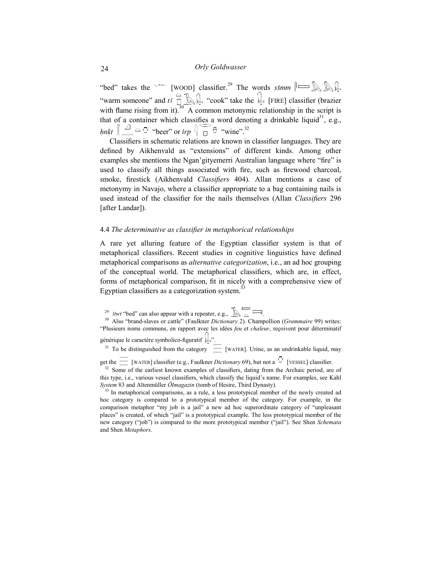"bed" takes the  $\sim$  [WOOD] classifier.<sup>29</sup> The words ssmm  $\sim$  N "warm someone" and  $t_3 \stackrel{\frown}{\oplus} \mathbb{R}$  "cook" take the  $\downarrow$  [FIRE] classifier (brazier with flame rising from it). $^{30}$  A common metonymic relationship in the script is that of a container which classifies a word denoting a drinkable liquid<sup>31</sup>, e.g., *hnkt*  $\left\{\begin{array}{c} \triangle \end{array} \right\}$   $\sim \bigcirc$  "beer" or *irp*  $\left\{\begin{array}{c} \heartsuit \end{array} \right\}$  "wine".<sup>32</sup>

Classifiers in schematic relations are known in classifier languages. They are defined by Aikhenvald as "extensions" of different kinds. Among other examples she mentions the Ngan'gityemerri Australian language where "fire" is used to classify all things associated with fire, such as firewood charcoal, smoke, firestick (Aikhenvald Classifiers 404). Allan mentions a case of metonymy in Navajo, where a classifier appropriate to a bag containing nails is used instead of the classifier for the nails themselves (Allan Classifiers 296 [after Landar]).

#### 4.4 The determinative as classifier in metaphorical relationships

A rare yet alluring feature of the Egyptian classifier system is that of metaphorical classifiers. Recent studies in cognitive linguistics have defined metaphorical comparisons as *alternative categorization*, i.e., an ad hoc grouping of the conceptual world. The metaphorical classifiers, which are, in effect, forms of metaphorical comparison, fit in nicely with a comprehensive view of Egyptian classifiers as a categorization system.<sup>33</sup>

<sup>29</sup> *Hwt* "bed" can also appear with a repeater, e.g.,  $\mathbb{R}$   $\overline{\mathbb{R}}$ 

<sup>30</sup> Also "brand-slaves or cattle" (Faulkner *Dictionary 2*). Champollion (Grammaire 99) writes: "Plusieurs noms communs, en rapport avec les idées feu et chaleur, reçoivent pour déterminatif générique le caractère symbolico-figuratif  $\downarrow$ ".

 $31$  To be distinguished from the category  $\frac{1}{2}$  [WATER]. Urine, as an undrinkable liquid, may

get the  $\lim_{m \to \infty}$  [WATER] classifier (e.g., Faulkner *Dictionary* 69), but not a  $\overline{O}$  [VESSEL] classifier.

 $32$  Some of the earliest known examples of classifiers, dating from the Archaic period, are of this type, i.e., various vessel classifiers, which classify the liquid's name. For examples, see Kahl System 83 and Altenmüller Ölmagazin (tomb of Hesire, Third Dynasty).

<sup>33</sup> In metaphorical comparisons, as a rule, a less prototypical member of the newly created ad hoc category is compared to a prototypical member of the category. For example, in the comparison metaphor "my job is a jail" a new ad hoc superordinate category of "unpleasant places" is created, of which "jail" is a prototypical example. The less prototypical member of the new category ("job") is compared to the more prototypical member ("jail"). See Shen Schemata and Shen Metaphors.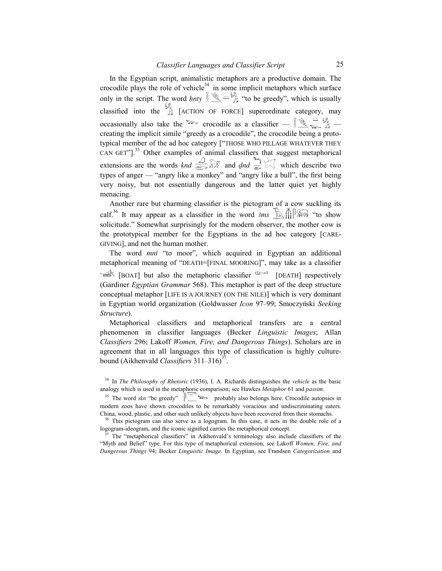In the Egyptian script, animalistic metaphors are a productive domain. The crocodile plays the role of vehicle $34$  in some implicit metaphors which surface only in the script. The word *hnty*  $\lim_{n \to \infty} \left( \frac{1}{n} \right)$  "to be greedy", which is usually classified into the  $\overrightarrow{A}$  [ACTION OF FORCE] superordinate category, may occasionally also take the crocodile as a classifier  $-\frac{2}{3}$ ,  $\frac{1}{2}$ ,  $\frac{1}{2}$ creating the implicit simile "greedy as a crocodile", the crocodile being a prototypical member of the ad hoc category ["THOSE WHO PILLAGE WHATEVER THEY CAN GET"].<sup>35</sup> Other examples of animal classifiers that suggest metaphorical extensions are the words *knd*  $\overbrace{\mathbb{R}^n}$  and *dnd*  $\overbrace{\mathbb{R}^n}$  which describe two types of anger — "angry like a monkey" and "angry like a bull", the first being very noisy, but not essentially dangerous and the latter quiet yet highly menacing.

Another rare but charming classifier is the pictogram of a cow suckling its calf.<sup>36</sup> It may appear as a classifier in the word  $3ms$   $\mathbb{R}$   $\mathbb{R}$   $\mathbb{R}$  "to show" solicitude." Somewhat surprisingly for the modern observer, the mother cow is the prototypical member for the Egyptians in the ad hoc category [CARE-GIVING], and not the human mother.

The word mni "to moor", which acquired in Egyptian an additional metaphorical meaning of "DEATH=[FINAL MOORING]", may take as a classifier  $\leq$  [BOAT] but also the metaphoric classifier  $\leq$  [DEATH] respectively (Gardiner Egyptian Grammar 568). This metaphor is part of the deep structure conceptual metaphor [LIFE IS A JOURNEY (ON THE NILE)] which is very dominant in Egyptian world organization (Goldwasser *Icon* 97–99; Smoczyński Seeking Structure).

Metaphorical classifiers and metaphorical transfers are a central phenomenon in classifier languages (Becker Linguistic Images; Allan Classifiers 296; Lakoff Women, Fire, and Dangerous Things). Scholars are in agreement that in all languages this type of classification is highly culturebound (Aikhenvald *Classifiers*  $311-316$ <sup>37</sup>.

 $34$  In The Philosophy of Rhetoric (1936), I. A. Richards distinguishes the vehicle as the basic analogy which is used in the metaphoric comparison; see Hawkes Metaphor 61 and passim.

<sup>&</sup>lt;sup>35</sup> The word skn "be greedy"  $\|\mathbf{w}\|$   $\rightarrow$  probably also belongs here. Crocodile autopsies in modern zoos have shown crocodiles to be remarkably voracious and undiscriminating eaters. China, wood, plastic, and other such unlikely objects have been recovered from their stomachs.

<sup>&</sup>lt;sup>36</sup> This pictogram can also serve as a logogram. In this case, it acts in the double role of a logogram-ideogram, and the iconic signified carries the metaphorical concept.

 $37$  The "metaphorical classifiers" in Aikhenvald's terminology also include classifiers of the "Myth and Belief" type. For this type of metaphorical extension, see Lakoff Women, Fire, and Dangerous Things 94; Becker Linguistic Image. In Egyptian, see Frandsen Categorization and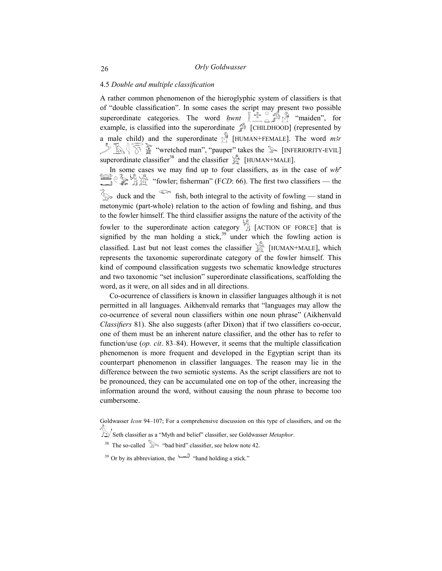# 4.5 Double and multiple classification

A rather common phenomenon of the hieroglyphic system of classifiers is that of "double classification". In some cases the script may present two possible superordinate categories. The word *hwnt*  $\lim_{m \to \infty} \int_{0}^{\infty} \int_{0}^{M}$  "maiden", for example, is classified into the superordinate  $\mathcal{P}$  [CHILDHOOD] (represented by a male child) and the superordinate  $\mathbb{R}$  [HUMAN+FEMALE]. The word *m3r*  $\sum_{i=1}^n \sum_{i=1}^n \sum_{j=1}^n$  "wretched man", "pauper" takes the  $\sum_{i=1}^n$  [INFERIORITY-EVIL] superordinate classifier<sup>38</sup> and the classifier  $\mathbb{R}$  [HUMAN+MALE].

In some cases we may find up to four classifiers, as in the case of  $wh<sup>c</sup>$  $\bigotimes_{i=1}^{\infty} \bigotimes_{i=1}^{\infty} \bigotimes_{i=1}^{\infty}$  "fowler; fisherman" (FCD: 66). The first two classifiers — the  $\hat{\mathcal{S}}$  duck and the  $\hat{\mathcal{S}}$  fish, both integral to the activity of fowling — stand in metonymic (part-whole) relation to the action of fowling and fishing, and thus to the fowler himself. The third classifier assigns the nature of the activity of the fowler to the superordinate action category  $\overrightarrow{A}$  [ACTION OF FORCE] that is signified by the man holding a stick,  $39$  under which the fowling action is classified. Last but not least comes the classifier  $\mathbb{R}$  [HUMAN+MALE], which represents the taxonomic superordinate category of the fowler himself. This kind of compound classification suggests two schematic knowledge structures and two taxonomic "set inclusion" superordinate classifications, scaffolding the word, as it were, on all sides and in all directions.

Co-ocurrence of classifiers is known in classifier languages although it is not permitted in all languages. Aikhenvald remarks that "languages may allow the co-ocurrence of several noun classifiers within one noun phrase" (Aikhenvald Classifiers 81). She also suggests (after Dixon) that if two classifiers co-occur, one of them must be an inherent nature classifier, and the other has to refer to function/use (*op. cit.* 83–84). However, it seems that the multiple classification phenomenon is more frequent and developed in the Egyptian script than its counterpart phenomenon in classifier languages. The reason may lie in the difference between the two semiotic systems. As the script classifiers are not to be pronounced, they can be accumulated one on top of the other, increasing the information around the word, without causing the noun phrase to become too cumbersome.

Goldwasser *Icon* 94–107; For a comprehensive discussion on this type of classifiers, and on the

Seth classifier as a "Myth and belief" classifier, see Goldwasser Metaphor.

<sup>38</sup> The so-called  $\gg$  "bad bird" classifier, see below note 42.

<sup>39</sup> Or by its abbreviation, the  $\qquad \qquad$  "hand holding a stick."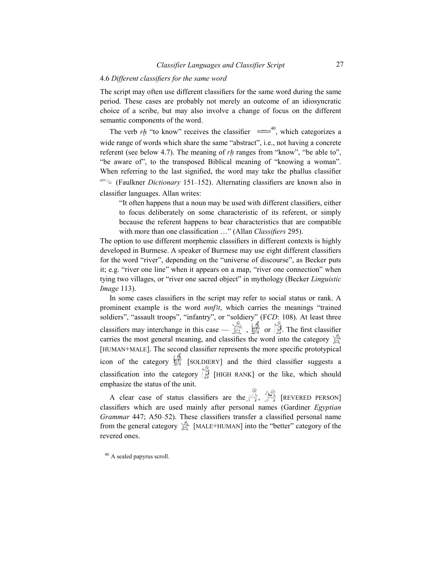#### 4.6 Different classifiers for the same word

The script may often use different classifiers for the same word during the same period. These cases are probably not merely an outcome of an idiosyncratic choice of a scribe, but may also involve a change of focus on the different semantic components of the word.

The verb rh "to know" receives the classifier  $\approx 40$ , which categorizes a wide range of words which share the same "abstract", i.e., not having a concrete referent (see below 4.7). The meaning of  $rh$  ranges from "know", "be able to", "be aware of", to the transposed Biblical meaning of "knowing a woman". When referring to the last signified, the word may take the phallus classifier (Faulkner *Dictionary* 151–152). Alternating classifiers are known also in classifier languages. Allan writes:

"It often happens that a noun may be used with different classifiers, either to focus deliberately on some characteristic of its referent, or simply because the referent happens to bear characteristics that are compatible with more than one classification ..." (Allan Classifiers 295).

The option to use different morphemic classifiers in different contexts is highly developed in Burmese. A speaker of Burmese may use eight different classifiers for the word "river", depending on the "universe of discourse", as Becker puts it; e.g. "river one line" when it appears on a map, "river one connection" when tying two villages, or "river one sacred object" in mythology (Becker *Linguistic* Image 113).

In some cases classifiers in the script may refer to social status or rank. A prominent example is the word  $mnf(t)$ , which carries the meanings "trained soldiers", "assault troops", "infantry", or "soldiery" (FCD: 108). At least three classifiers may interchange in this case —  $\mathbb{R}$ ,  $\mathbb{R}$  or  $\mathbb{R}$ . The first classifier carries the most general meaning, and classifies the word into the category  $\hat{\mathbb{S}}^{\mathbb{R}}$ [HUMAN+MALE]. The second classifier represents the more specific prototypical icon of the category  $\mathbb{Z}$  [SOLDIERY] and the third classifier suggests a classification into the category  $\mathbb{R}$  [HIGH RANK] or the like, which should emphasize the status of the unit.

A clear case of status classifiers are the  $\overset{\mathcal{B}}{\rightarrow}$   $\overset{\mathcal{B}}{\rightarrow}$  [REVERED PERSON] classifiers which are used mainly after personal names (Gardiner Egyptian Grammar 447; A50–52). These classifiers transfer a classified personal name from the general category  $\mathbb{S}^N$  [MALE+HUMAN] into the "better" category of the revered ones.

<sup>40</sup> A sealed papyrus scroll.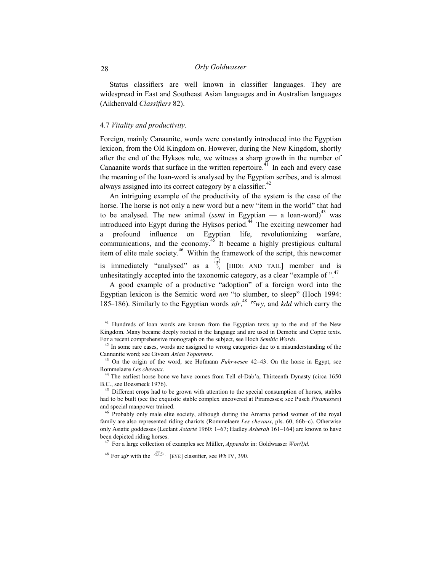# 28 Orly Goldwasser

Status classifiers are well known in classifier languages. They are widespread in East and Southeast Asian languages and in Australian languages (Aikhenvald Classifiers 82).

#### 4.7 Vitality and productivity.

Foreign, mainly Canaanite, words were constantly introduced into the Egyptian lexicon, from the Old Kingdom on. However, during the New Kingdom, shortly after the end of the Hyksos rule, we witness a sharp growth in the number of Canaanite words that surface in the written repertoire.<sup>41</sup> In each and every case the meaning of the loan-word is analysed by the Egyptian scribes, and is almost always assigned into its correct category by a classifier.<sup>42</sup>

An intriguing example of the productivity of the system is the case of the horse. The horse is not only a new word but a new "item in the world" that had to be analysed. The new animal (*ssmt* in Egyptian  $-$  a loan-word)<sup>43</sup> was introduced into Egypt during the Hyksos period.<sup>44</sup> The exciting newcomer had a profound influence on Egyptian life, revolutionizing warfare, communications, and the economy.<sup>45</sup> It became a highly prestigious cultural item of elite male society.<sup>46</sup> Within the framework of the script, this newcomer is immediately "analysed" as a  $\mathbb{R}$  [HIDE AND TAIL] member and is unhesitatingly accepted into the taxonomic category, as a clear "example of  $\cdot$ ".<sup>47</sup>

A good example of a productive "adoption" of a foreign word into the Egyptian lexicon is the Semitic word  $nm$  "to slumber, to sleep" (Hoch 1994: 185–186). Similarly to the Egyptian words  $sdr$ ,<sup>48</sup>  $\alpha$ , and kdd which carry the

<sup>&</sup>lt;sup>41</sup> Hundreds of loan words are known from the Egyptian texts up to the end of the New Kingdom. Many became deeply rooted in the language and are used in Demotic and Coptic texts. For a recent comprehensive monograph on the subject, see Hoch Semitic Words.

 $42$  In some rare cases, words are assigned to wrong categories due to a misunderstanding of the Cannanite word; see Giveon Asian Toponyms.

 $43$  On the origin of the word, see Hofmann *Fuhrwesen*  $42-43$ . On the horse in Egypt, see Rommelaere Les chevaux.

<sup>&</sup>lt;sup>44</sup> The earliest horse bone we have comes from Tell el-Dab'a, Thirteenth Dynasty (circa 1650 B.C., see Boessneck 1976).

<sup>&</sup>lt;sup>45</sup> Different crops had to be grown with attention to the special consumption of horses, stables had to be built (see the exquisite stable complex uncovered at Piramesses; see Pusch Piramesses) and special manpower trained.

<sup>&</sup>lt;sup>46</sup> Probably only male elite society, although during the Amarna period women of the royal family are also represented riding chariots (Rommelaere Les chevaux, pls. 60, 66b–c). Otherwise only Asiatic goddesses (Leclant Astarté 1960: 1–67; Hadley Asherah 161–164) are known to have been depicted riding horses.

<sup>&</sup>lt;sup>47</sup> For a large collection of examples see Müller, *Appendix* in: Goldwasser  $Wor(l)d$ .

<sup>&</sup>lt;sup>48</sup> For sdr with the  $\overline{C}$  [EYE] classifier, see Wb IV, 390.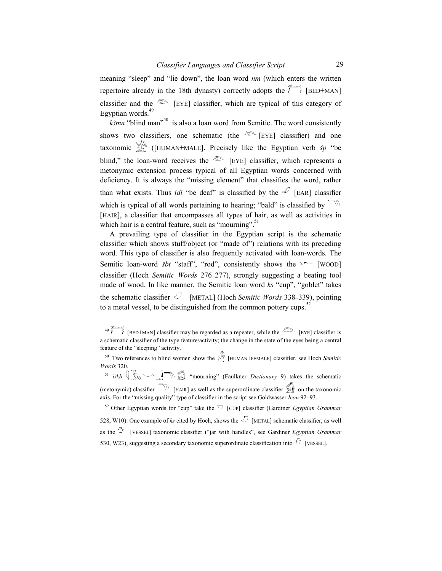meaning "sleep" and "lie down", the loan word nm (which enters the written repertoire already in the 18th dynasty) correctly adopts the  $\approx$  [BED+MAN] classifier and the  $\infty$  [EYE] classifier, which are typical of this category of Egyptian words.<sup>49</sup>

 $k3mn$  "blind man"<sup>50</sup> is also a loan word from Semitic. The word consistently shows two classifiers, one schematic (the  $\infty$  [EYE] classifier) and one taxonomic  $\sum_{n=1}^{\infty}$  ([HUMAN+MALE]. Precisely like the Egyptian verb  $\check{s}p$  "be blind," the loan-word receives the  $\circledcirc$  [EYE] classifier, which represents a metonymic extension process typical of all Egyptian words concerned with deficiency. It is always the "missing element" that classifies the word, rather than what exists. Thus *idi* "be deaf" is classified by the  $\mathscr{D}$  [EAR] classifier which is typical of all words pertaining to hearing; "bald" is classified by  $\Box$ [HAIR], a classifier that encompasses all types of hair, as well as activities in which hair is a central feature, such as "mourning".<sup>51</sup>

A prevailing type of classifier in the Egyptian script is the schematic classifier which shows stuff/object (or "made of") relations with its preceding word. This type of classifier is also frequently activated with loan-words. The Semitic loan-word *šbt* "staff", "rod", consistently shows the  $\sim$  [WOOD] classifier (Hoch Semitic Words 276–277), strongly suggesting a beating tool made of wood. In like manner, the Semitic loan word ks "cup", "goblet" takes the schematic classifier  $\bigcup$  [METAL] (Hoch Semitic Words 338-339), pointing to a metal vessel, to be distinguished from the common pottery cups.<sup>52</sup>

<sup>50</sup> Two references to blind women show the  $\int_{\ell}^{\sqrt{n}}$  [HUMAN+FEMALE] classifier, see Hoch Semitic Words 320.  $51$   $i3kb$   $\left(\begin{matrix} \sqrt{16} & \sqrt{16} \\ \sqrt{16} & \sqrt{16} \end{matrix}\right)$  "mourning" (Faulkner *Dictionary* 9) takes the schematic (metonymic) classifier  $\widehat{\mathbb{R}}$  [HAIR] as well as the superordinate classifier  $\widehat{\mathbb{R}}$  on the taxonomic axis. For the "missing quality" type of classifier in the script see Goldwasser *Icon* 92–93.

<sup>52</sup> Other Egyptian words for "cup" take the  $\overline{\vee}$  [CUP] classifier (Gardiner Egyptian Grammar 528, W10). One example of ks cited by Hoch, shows the  $\mathcal{D}$  [METAL] schematic classifier, as well as the  $\overline{O}$  [VESSEL] taxonomic classifier ("jar with handles", see Gardiner *Egyptian Grammar* 530, W23), suggesting a secondary taxonomic superordinate classification into  $\overline{O}$  [VESSEL].

<sup>49 [</sup>BED+MAN] classifier may be regarded as a repeater, while the <sup>200</sup> [EYE] classifier is a schematic classifier of the type feature/activity; the change in the state of the eyes being a central feature of the "sleeping" activity.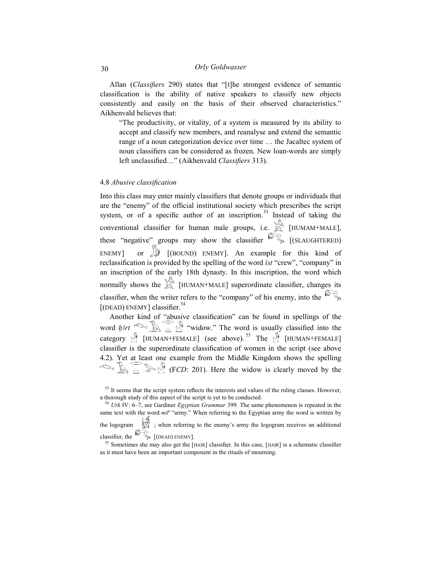Allan (Classifiers 290) states that "[t]he strongest evidence of semantic classification is the ability of native speakers to classify new objects consistently and easily on the basis of their observed characteristics." Aikhenvald believes that:

"The productivity, or vitality, of a system is measured by its ability to accept and classify new members, and reanalyse and extend the semantic range of a noun categorization device over time … the Jacaltec system of noun classifiers can be considered as frozen. New loan-words are simply left unclassified…" (Aikhenvald Classifiers 313).

# 4.8 Abusive classification

Into this class may enter mainly classifiers that denote groups or individuals that are the "enemy" of the official institutional society which prescribes the script system, or of a specific author of an inscription.<sup>53</sup> Instead of taking the conventional classifier for human male groups, i.e.  $\mathbb{R}^n$  [HUMAM+MALE], these "negative" groups may show the classifier  $\mathbb{S}_{\mathbb{R}}$  [(SLAUGHTERED) ENEMY] or  $\mathbb{R}$  [(BOUND) ENEMY]. An example for this kind of reclassification is provided by the spelling of the word *ist* "crew", "company" in an inscription of the early 18th dynasty. In this inscription, the word which normally shows the  $\mathbb{Z}$  [HUMAN+MALE] superordinate classifier, changes its classifier, when the writer refers to the "company" of his enemy, into the  $\mathbb{Z}_\infty$  $[$ (DEAD) ENEMY] classifier.<sup>54</sup>

Another kind of "abusive classification" can be found in spellings of the word  $\lim_{n \to \infty}$   $\lim_{n \to \infty}$   $\lim_{n \to \infty}$  "widow." The word is usually classified into the category  $\hat{M}$  [HUMAN+FEMALE] (see above).<sup>55</sup> The  $\hat{M}$  [HUMAN+FEMALE] classifier is the superordinate classification of women in the script (see above 4.2). Yet at least one example from the Middle Kingdom shows the spelling  $\sum_{i=1}^{\infty}$   $\sum_{i=1}^{\infty}$  (FCD: 201). Here the widow is clearly moved by the

<sup>&</sup>lt;sup>53</sup> It seems that the script system reflects the interests and values of the ruling classes. However, a thorough study of this aspect of the script is yet to be conducted.

 $54$  Urk IV: 6–7, see Gardiner Egyptian Grammar 399. The same phenomenon is repeated in the same text with the word  $m\zeta$ <sup>c</sup> "army." When referring to the Egyptian army the word is written by the logogram  $\Box$  ; when referring to the enemy's army the logogram receives an additional

classifier, the  $\mathbb{Z}$  [(DEAD) ENEMY].

<sup>&</sup>lt;sup>55</sup> Sometimes she may also get the [HAIR] classifier. In this case, [HAIR] is a schematic classifier as it must have been an important component in the rituals of mourning.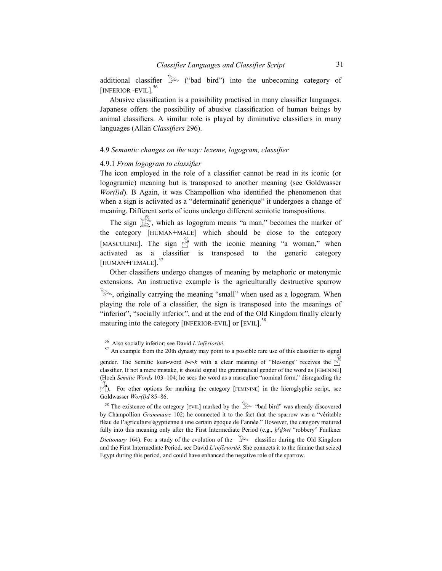additional classifier  $\mathbb{R}$  ("bad bird") into the unbecoming category of [INFERIOR -EVIL].<sup>56</sup>

Abusive classification is a possibility practised in many classifier languages. Japanese offers the possibility of abusive classification of human beings by animal classifiers. A similar role is played by diminutive classifiers in many languages (Allan Classifiers 296).

# 4.9 Semantic changes on the way: lexeme, logogram, classifier

#### 4.9.1 From logogram to classifier

The icon employed in the role of a classifier cannot be read in its iconic (or logogramic) meaning but is transposed to another meaning (see Goldwasser  $Wor(l)$ d). B Again, it was Champollion who identified the phenomenon that when a sign is activated as a "determinatif generique" it undergoes a change of meaning. Different sorts of icons undergo different semiotic transpositions.

The sign  $\mathbb{R}^n$ , which as logogram means "a man," becomes the marker of the category [HUMAN+MALE] which should be close to the category [MASCULINE]. The sign  $\sqrt[3]{\hspace{-2.75pt}\sqrt[3]{\hspace{-2.75pt}\sqrt[3]{\hspace{-2.75pt}\sqrt[3]{\hspace{-2.75pt}\sqrt[3]{\hspace{-2.75pt}\sqrt[3]{\hspace{-2.75pt}\sqrt[3]{\hspace{-2.75pt}\sqrt[3]{\hspace{-2.75pt}\sqrt[3]{\hspace{-2.75pt}\sqrt[3]{\hspace{-2.75pt}\sqrt[3]{\hspace{-2.75pt}\sqrt[3]{\hspace{-2.75pt}\sqrt[3]{\hspace{-2.75pt}\sqrt[3]{\hspace{-2.75pt}\sqrt$ activated as a classifier is transposed to the generic category [HUMAN+FEMALE].<sup>57</sup>

Other classifiers undergo changes of meaning by metaphoric or metonymic extensions. An instructive example is the agriculturally destructive sparrow , originally carrying the meaning "small" when used as a logogram. When playing the role of a classifier, the sign is transposed into the meanings of "inferior", "socially inferior", and at the end of the Old Kingdom finally clearly maturing into the category [INFERIOR-EVIL] or [EVIL].<sup>58</sup>

<sup>57</sup> An example from the 20th dynasty may point to a possible rare use of this classifier to signal

gender. The Semitic loan-word b-r-k with a clear meaning of "blessings" receives the  $\sqrt{\frac{M}{\pi}}$ classifier. If not a mere mistake, it should signal the grammatical gender of the word as [FEMININE] (Hoch Semitic Words 103–104; he sees the word as a masculine "nominal form," disregarding the

 $\mathcal{N}_{\ell}^{\mathcal{M}}$ ). For other options for marking the category [FEMININE] in the hieroglyphic script, see Goldwasser Wor(l)d 85-86.

<sup>58</sup> The existence of the category [EVIL] marked by the  $\gg$  "bad bird" was already discovered by Champollion Grammaire 102; he connected it to the fact that the sparrow was a "véritable fléau de l'agriculture égyptienne à une certain époque de l'année." However, the category matured fully into this meaning only after the First Intermediate Period (e.g.,  $h^r d^3wt$  "robbery" Faulkner

Dictionary 164). For a study of the evolution of the  $\gg$  classifier during the Old Kingdom and the First Intermediate Period, see David L'infériorité. She connects it to the famine that seized Egypt during this period, and could have enhanced the negative role of the sparrow.

<sup>56</sup> Also socially inferior; see David L'infériorité.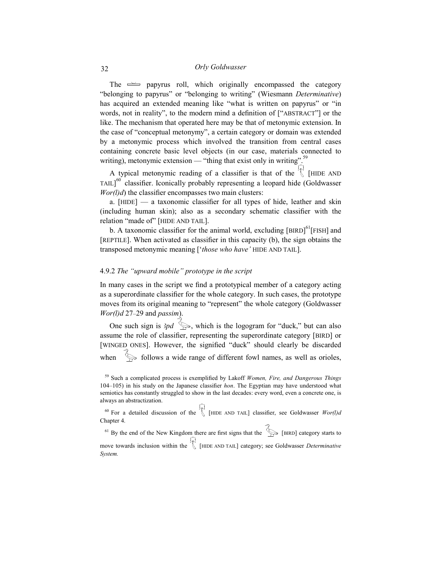# 32 Orly Goldwasser

The  $\approx$  papyrus roll, which originally encompassed the category "belonging to papyrus" or "belonging to writing" (Wiesmann Determinative) has acquired an extended meaning like "what is written on papyrus" or "in words, not in reality", to the modern mind a definition of ["ABSTRACT"] or the like. The mechanism that operated here may be that of metonymic extension. In the case of "conceptual metonymy", a certain category or domain was extended by a metonymic process which involved the transition from central cases containing concrete basic level objects (in our case, materials connected to writing), metonymic extension — "thing that exist only in writing".<sup>59</sup>

A typical metonymic reading of a classifier is that of the  $\bigvee^{\mathsf{H}}$  [HIDE AND TAIL] $^{60}$  classifier. Iconically probably representing a leopard hide (Goldwasser  $Wor(l)d$ ) the classifier encompasses two main clusters:

a.  $[HIDE]$  — a taxonomic classifier for all types of hide, leather and skin (including human skin); also as a secondary schematic classifier with the relation "made of" [HIDE AND TAIL].

b. A taxonomic classifier for the animal world, excluding [BIRD]<sup>61</sup>[FISH] and [REPTILE]. When activated as classifier in this capacity (b), the sign obtains the transposed metonymic meaning ['those who have' HIDE AND TAIL].

# 4.9.2 The "upward mobile" prototype in the script

In many cases in the script we find a prototypical member of a category acting as a superordinate classifier for the whole category. In such cases, the prototype moves from its original meaning to "represent" the whole category (Goldwasser  $Wor(l)$ d 27-29 and passim).

One such sign is  $3pd \rightarrow \infty$ , which is the logogram for "duck," but can also assume the role of classifier, representing the superordinate category [BIRD] or [WINGED ONES]. However, the signified "duck" should clearly be discarded when  $\Diamond$  follows a wide range of different fowl names, as well as orioles,

<sup>60</sup> For a detailed discussion of the  $\bigcup_{n=1}^{\infty}$  [HIDE AND TAIL] classifier, see Goldwasser *Wor(l)d* Chapter 4.

<sup>61</sup> By the end of the New Kingdom there are first signs that the  $\sum_{n=1}^{\infty}$  [BIRD] category starts to

move towards inclusion within the  $\mathbb{R}$  [HIDE AND TAIL] category; see Goldwasser *Determinative* System.

 $59$  Such a complicated process is exemplified by Lakoff Women, Fire, and Dangerous Things 104–105) in his study on the Japanese classifier hon. The Egyptian may have understood what semiotics has constantly struggled to show in the last decades: every word, even a concrete one, is always an abstractization.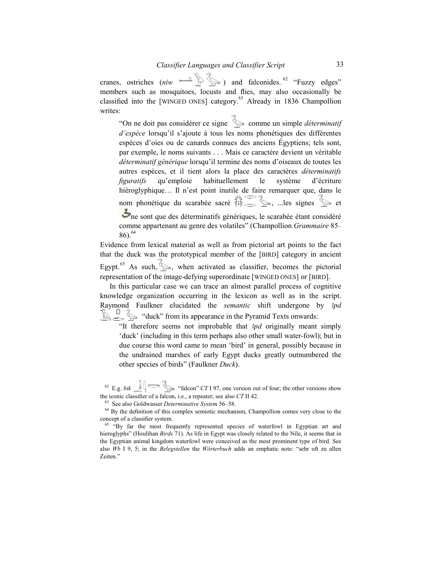cranes, ostriches (niw  $\sum_{n=1}^{\infty}$ ) and falconides. <sup>62</sup> "Fuzzy edges" members such as mosquitoes, locusts and flies, may also occasionally be classified into the [WINGED ONES] category.<sup>63</sup> Already in 1836 Champollion writes:

"On ne doit pas considérer ce signe  $\sum$  comme un simple *déterminatif* d'espèce lorsqu'il s'ajoute à tous les noms phonétiques des différentes espèces d'oies ou de canards connues des anciens Égyptiens; tels sont, par exemple, le noms suivants . . . Mais ce caractère devient un véritable déterminatif générique lorsqu'il termine des noms d'oiseaux de toutes les autres espèces, et il tient alors la place des caractères déterminatifs figuratifs qu'emploie habituellement le système d'écriture hiéroglyphique... Il n'est point inutile de faire remarquer que, dans le nom phonétique du scarabée sacré  $\overbrace{\mathbb{R}}^2 \leq \mathbb{R}$ , ...les signes  $\overset{\sim}{\gg}$  et

ne sont que des déterminatifs génériques, le scarabée étant considéré comme appartenant au genre des volatiles" (Champollion Grammaire 85–  $86.64$ 

Evidence from lexical material as well as from pictorial art points to the fact that the duck was the prototypical member of the [BIRD] category in ancient Egypt.<sup>65</sup> As such,  $\left\langle \right\rangle$ , when activated as classifier, becomes the pictorial representation of the image-defying superordinate [WINGED ONES] or [BIRD].

In this particular case we can trace an almost parallel process of cognitive knowledge organization occurring in the lexicon as well as in the script. Raymond Faulkner elucidated the *semantic* shift undergone by 3pd  $\mathbb{R} \subseteq \mathbb{S}$  "duck" from its appearance in the Pyramid Texts onwards:

"It therefore seems not improbable that  $3pd$  originally meant simply 'duck' (including in this term perhaps also other small water-fowl); but in due course this word came to mean 'bird' in general, possibly because in the undrained marshes of early Egypt ducks greatly outnumbered the other species of birds" (Faulkner Duck).

<sup>62</sup> E.g. bik  $\iint$   $\iint$   $\iint$  "falcon" CT I 97, one version out of four; the other versions show the iconic classifier of a falcon, i.e., a repeater; see also CT II 42.

 $63$  See also Goldwasser Determinative System 56–58.

<sup>64</sup> By the definition of this complex semiotic mechanism, Champollion comes very close to the concept of a classifier system.

<sup>65</sup> "By far the most frequently represented species of waterfowl in Egyptian art and hieroglyphs" (Houlihan *Birds* 71). As life in Egypt was closely related to the Nile, it seems that in the Egyptian animal kingdom waterfowl were conceived as the most prominent type of bird. See also  $Wb$  I 9, 5; in the *Belegstellen* the Wörterbuch adds an emphatic note: "sehr oft zu allen Zeiten."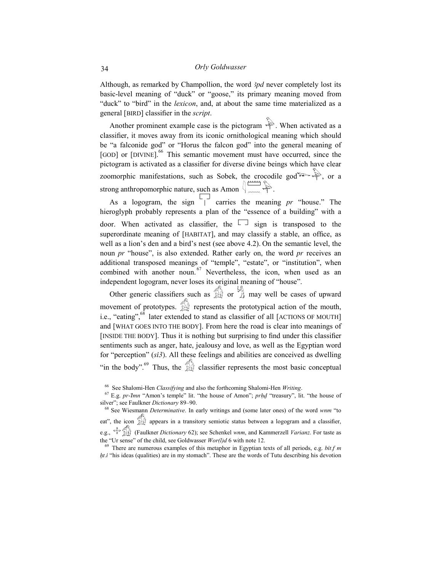Although, as remarked by Champollion, the word  $3pd$  never completely lost its basic-level meaning of "duck" or "goose," its primary meaning moved from "duck" to "bird" in the lexicon, and, at about the same time materialized as a general [BIRD] classifier in the script.

Another prominent example case is the pictogram  $\mathbb{R}$ . When activated as a classifier, it moves away from its iconic ornithological meaning which should be "a falconide god" or "Horus the falcon god" into the general meaning of [GOD] or [DIVINE].<sup>66</sup> This semantic movement must have occurred, since the pictogram is activated as a classifier for diverse divine beings which have clear zoomorphic manifestations, such as Sobek, the crocodile god  $\rightarrow \qquad \qquad$ , or a strong anthropomorphic nature, such as Amon  $\sqrt{\frac{1}{2}}$ 

As a logogram, the sign  $\Box$  carries the meaning pr "house." The hieroglyph probably represents a plan of the "essence of a building" with a door. When activated as classifier, the  $\Box$  sign is transposed to the superordinate meaning of [HABITAT], and may classify a stable, an office, as well as a lion's den and a bird's nest (see above 4.2). On the semantic level, the noun pr "house", is also extended. Rather early on, the word pr receives an additional transposed meanings of "temple", "estate", or "institution", when combined with another noun.  $67$  Nevertheless, the icon, when used as an independent logogram, never loses its original meaning of "house".

Other generic classifiers such as  $\mathbb{R}$  or  $\mathbb{R}$  may well be cases of upward movement of prototypes.  $\widehat{\mathbb{R}}$  represents the prototypical action of the mouth, i.e., "eating",<sup>68</sup> later extended to stand as classifier of all [ACTIONS OF MOUTH] and [WHAT GOES INTO THE BODY]. From here the road is clear into meanings of [INSIDE THE BODY]. Thus it is nothing but surprising to find under this classifier sentiments such as anger, hate, jealousy and love, as well as the Egyptian word for "perception" (si3). All these feelings and abilities are conceived as dwelling "in the body".<sup>69</sup> Thus, the  $\mathbb{Z}$  classifier represents the most basic conceptual

<sup>&</sup>lt;sup>66</sup> See Shalomi-Hen Classifying and also the forthcoming Shalomi-Hen Writing.

 $67$  E.g. pr-Imn "Amon's temple" lit. "the house of Amon"; prhd "treasury", lit. "the house of silver"; see Faulkner Dictionary 89-90.

<sup>&</sup>lt;sup>68</sup> See Wiesmann *Determinative*. In early writings and (some later ones) of the word wnm "to eat", the icon  $\mathbb{R}$  appears in a transitory semiotic status between a logogram and a classifier,

e.g.,  $\forall$   $\circ$  (Faulkner Dictionary 62); see Schenkel wnm, and Kammerzell Varianz. For taste as the "Ur sense" of the child, see Goldwasser  $Wor(l)$ d 6 with note 12.

 $69$  There are numerous examples of this metaphor in Egyptian texts of all periods, e.g. bit.f m  $ht.i$  "his ideas (qualities) are in my stomach". These are the words of Tutu describing his devotion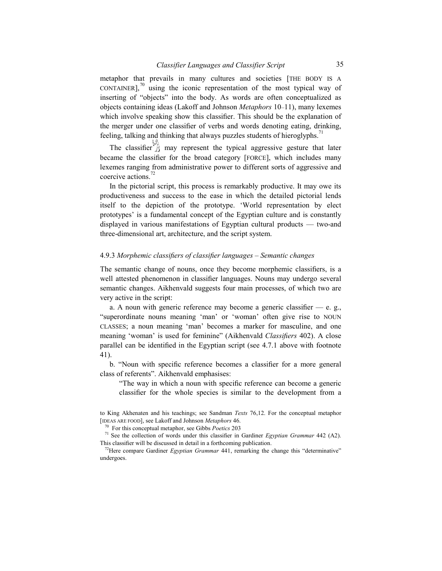metaphor that prevails in many cultures and societies [THE BODY IS A CONTAINER], $\frac{70}{10}$  using the iconic representation of the most typical way of inserting of "objects" into the body. As words are often conceptualized as objects containing ideas (Lakoff and Johnson Metaphors 10–11), many lexemes which involve speaking show this classifier. This should be the explanation of the merger under one classifier of verbs and words denoting eating, drinking, feeling, talking and thinking that always puzzles students of hieroglyphs.<sup>71</sup>

The classifier  $\overleftrightarrow{A}$  may represent the typical aggressive gesture that later became the classifier for the broad category [FORCE], which includes many lexemes ranging from administrative power to different sorts of aggressive and coercive actions.<sup>72</sup>

In the pictorial script, this process is remarkably productive. It may owe its productiveness and success to the ease in which the detailed pictorial lends itself to the depiction of the prototype. 'World representation by elect prototypes' is a fundamental concept of the Egyptian culture and is constantly displayed in various manifestations of Egyptian cultural products — two-and three-dimensional art, architecture, and the script system.

# 4.9.3 Morphemic classifiers of classifier languages – Semantic changes

The semantic change of nouns, once they become morphemic classifiers, is a well attested phenomenon in classifier languages. Nouns may undergo several semantic changes. Aikhenvald suggests four main processes, of which two are very active in the script:

a. A noun with generic reference may become a generic classifier  $-$  e. g., "superordinate nouns meaning 'man' or 'woman' often give rise to NOUN CLASSES; a noun meaning 'man' becomes a marker for masculine, and one meaning 'woman' is used for feminine" (Aikhenvald Classifiers 402). A close parallel can be identified in the Egyptian script (see 4.7.1 above with footnote 41).

b. "Noun with specific reference becomes a classifier for a more general class of referents". Aikhenvald emphasises:

"The way in which a noun with specific reference can become a generic classifier for the whole species is similar to the development from a

to King Akhenaten and his teachings; see Sandman Texts 76,12. For the conceptual metaphor [IDEAS ARE FOOD], see Lakoff and Johnson Metaphors 46.

 $70$  For this conceptual metaphor, see Gibbs *Poetics* 203

 $71$  See the collection of words under this classifier in Gardiner Egyptian Grammar 442 (A2). This classifier will be discussed in detail in a forthcoming publication.

<sup>&</sup>lt;sup>72</sup>Here compare Gardiner *Egyptian Grammar* 441, remarking the change this "determinative" undergoes.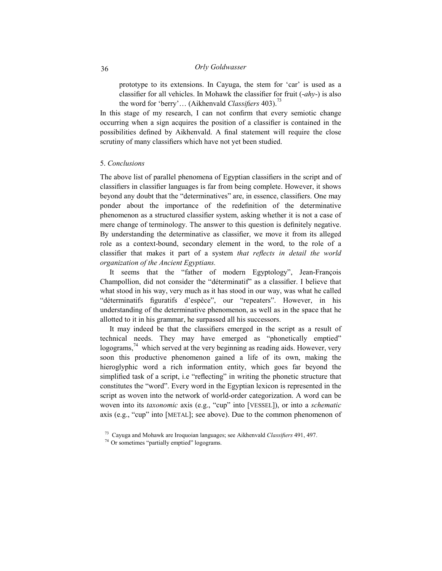prototype to its extensions. In Cayuga, the stem for 'car' is used as a classifier for all vehicles. In Mohawk the classifier for fruit  $(-ahv)$  is also the word for 'berry'... (Aikhenvald Classifiers 403).<sup>73</sup>

In this stage of my research, I can not confirm that every semiotic change occurring when a sign acquires the position of a classifier is contained in the possibilities defined by Aikhenvald. A final statement will require the close scrutiny of many classifiers which have not yet been studied.

# 5. Conclusions

The above list of parallel phenomena of Egyptian classifiers in the script and of classifiers in classifier languages is far from being complete. However, it shows beyond any doubt that the "determinatives" are, in essence, classifiers. One may ponder about the importance of the redefinition of the determinative phenomenon as a structured classifier system, asking whether it is not a case of mere change of terminology. The answer to this question is definitely negative. By understanding the determinative as classifier, we move it from its alleged role as a context-bound, secondary element in the word, to the role of a classifier that makes it part of a system that reflects in detail the world organization of the Ancient Egyptians.

It seems that the "father of modern Egyptology", Jean-François Champollion, did not consider the "déterminatif" as a classifier. I believe that what stood in his way, very much as it has stood in our way, was what he called "déterminatifs figuratifs d'espèce", our "repeaters". However, in his understanding of the determinative phenomenon, as well as in the space that he allotted to it in his grammar, he surpassed all his successors.

It may indeed be that the classifiers emerged in the script as a result of technical needs. They may have emerged as "phonetically emptied" logograms,  $^{74}$  which served at the very beginning as reading aids. However, very soon this productive phenomenon gained a life of its own, making the hieroglyphic word a rich information entity, which goes far beyond the simplified task of a script, i.e "reflecting" in writing the phonetic structure that constitutes the "word". Every word in the Egyptian lexicon is represented in the script as woven into the network of world-order categorization. A word can be woven into its *taxonomic* axis (e.g., "cup" into [VESSEL]), or into a *schematic* axis (e.g., "cup" into [METAL]; see above). Due to the common phenomenon of

 $73$  Cayuga and Mohawk are Iroquoian languages; see Aikhenvald Classifiers 491, 497.

<sup>&</sup>lt;sup>74</sup> Or sometimes "partially emptied" logograms.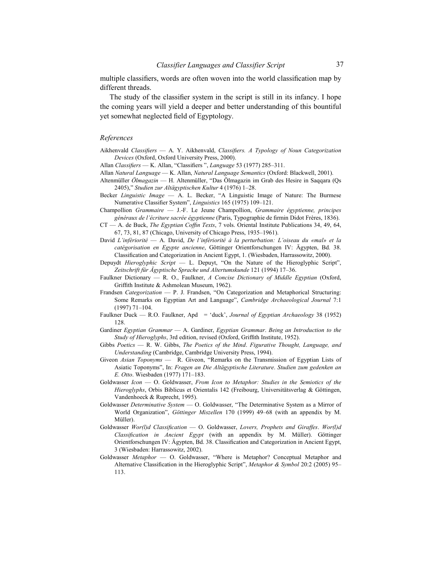multiple classifiers, words are often woven into the world classification map by different threads.

The study of the classifier system in the script is still in its infancy. I hope the coming years will yield a deeper and better understanding of this bountiful yet somewhat neglected field of Egyptology.

#### References

- Aikhenvald Classifiers A. Y. Aikhenvald, Classifiers. A Typology of Noun Categorization Devices (Oxford, Oxford University Press, 2000).
- Allan Classifiers K. Allan, "Classifiers", Language 53 (1977) 285-311.
- Allan Natural Language K. Allan, Natural Language Semantics (Oxford: Blackwell, 2001).
- Altenmüller Ölmagazin H. Altenmüller, "Das Ölmagazin im Grab des Hesire in Saqqara (Qs 2405)," Studien zur Altägyptischen Kultur 4 (1976) 1–28.
- Becker *Linguistic Image*  $-$  A. L. Becker, "A Linguistic Image of Nature: The Burmese Numerative Classifier System", Linguistics 165 (1975) 109–121.
- Champollion Grammaire J.-F. Le Jeune Champollion, Grammaire égyptienne, principes généraux de l'écriture sacrée égyptienne (Paris, Typographie de firmin Didot Frères, 1836).
- CT A. de Buck, The Egyptian Coffin Texts, 7 vols. Oriental Institute Publications 34, 49, 64, 67, 73, 81, 87 (Chicago, University of Chicago Press, 1935–1961).
- David L'infériorité A. David, De l'infériorité à la perturbation: L'oiseau du «mal» et la catégorisation en Egypte ancienne, Göttinger Orientforschungen IV: Ägypten, Bd. 38. Classification and Categorization in Ancient Egypt, 1. (Wiesbaden, Harrassowitz, 2000).
- Depuydt Hieroglyphic Script  $-$  L. Depuyt, "On the Nature of the Hieroglyphic Script", Zeitschrift für Ägyptische Sprache und Altertumskunde 121 (1994) 17–36.
- Faulkner Dictionary  $-$  R. O., Faulkner, A Concise Dictionary of Middle Egyptian (Oxford, Griffith Institute & Ashmolean Museum, 1962).
- Frandsen Categorization P. J. Frandsen, "On Categorization and Metaphorical Structuring: Some Remarks on Egyptian Art and Language", Cambridge Archaeological Journal 7:1 (1997) 71–104.
- Faulkner Duck R.O. Faulkner, Apd = 'duck', Journal of Egyptian Archaeology 38 (1952) 128.
- Gardiner Egyptian Grammar A. Gardiner, Egyptian Grammar. Being an Introduction to the Study of Hieroglyphs, 3rd edition, revised (Oxford, Griffith Institute, 1952).
- Gibbs Poetics R. W. Gibbs, The Poetics of the Mind. Figurative Thought, Language, and Understanding (Cambridge, Cambridge University Press, 1994).
- Giveon Asian Toponyms R. Giveon, "Remarks on the Transmission of Egyptian Lists of Asiatic Toponyms", In: Fragen an Die Altägyptische Literature. Studien zum gedenken an E. Otto. Wiesbaden (1977) 171–183.
- Goldwasser Icon  $-$  O. Goldwasser, From Icon to Metaphor: Studies in the Semiotics of the Hieroglyphs, Orbis Biblicus et Orientalis 142 (Freibourg, Universitätsverlag & Göttingen, Vandenhoeck & Ruprecht, 1995).
- Goldwasser Determinative System O. Goldwasser, "The Determinative System as a Mirror of World Organization", Göttinger Miszellen 170 (1999) 49–68 (with an appendix by M. Müller).
- Goldwasser Wor(l)d Classification O. Goldwasser, Lovers, Prophets and Giraffes. Wor(l)d Classification in Ancient Egypt (with an appendix by M. Müller). Göttinger Orientforschungen IV: Ägypten, Bd. 38. Classification and Categorization in Ancient Egypt, 3 (Wiesbaden: Harrassowitz, 2002).
- Goldwasser Metaphor O. Goldwasser, "Where is Metaphor? Conceptual Metaphor and Alternative Classification in the Hieroglyphic Script", Metaphor & Symbol 20:2 (2005) 95– 113.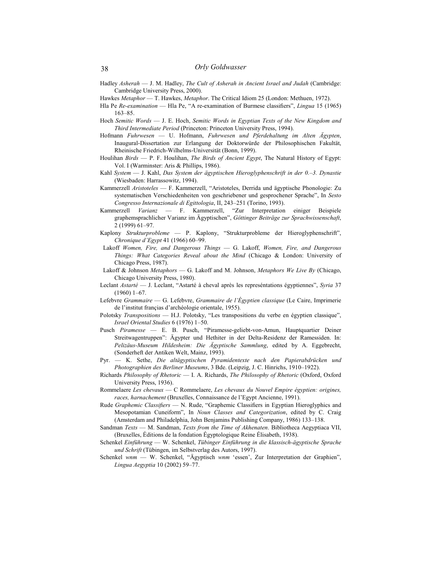- Hadley Asherah J. M. Hadley, The Cult of Asherah in Ancient Israel and Judah (Cambridge: Cambridge University Press, 2000).
- Hawkes Metaphor T. Hawkes, Metaphor. The Critical Idiom 25 (London: Methuen, 1972).
- Hla Pe Re-examination Hla Pe, "A re-examination of Burmese classifiers", Lingua 15 (1965) 163–85.
- Hoch Semitic Words J. E. Hoch, Semitic Words in Egyptian Texts of the New Kingdom and Third Intermediate Period (Princeton: Princeton University Press, 1994).
- Hofmann Fuhrwesen U. Hofmann, Fuhrwesen und Pferdehaltung im Alten Ägypten, Inaugural-Dissertation zur Erlangung der Doktorwürde der Philosophischen Fakultät, Rheinische Friedrich-Wilhelms-Universität (Bonn, 1999).
- Houlihan Birds P. F. Houlihan, The Birds of Ancient Egypt, The Natural History of Egypt: Vol. I (Warminster: Aris & Phillips, 1986).
- Kahl System J. Kahl, Das System der ägyptischen Hieroglyphenschrift in der 0.–3. Dynastie (Wiesbaden: Harrassowitz, 1994).
- Kammerzell Aristoteles F. Kammerzell, "Aristoteles, Derrida und ägyptische Phonologie: Zu systematischen Verschiedenheiten von geschriebener und gesprochener Sprache", In Sesto Congresso Internazionale di Egittologia, II, 243–251 (Torino, 1993).
- Kammerzell Varianz F. Kammerzell, "Zur Interpretation einiger Beispiele graphemsprachlicher Varianz im Ägyptischen", Göttinger Beiträge zur Sprachwissenschaft, 2 (1999) 61–97.
- Kaplony Strukturprobleme P. Kaplony, "Strukturprobleme der Hieroglyphenschrift", Chronique d'Egypt 41 (1966) 60–99.
- Lakoff Women, Fire, and Dangerous Things G. Lakoff, Women, Fire, and Dangerous Things: What Categories Reveal about the Mind (Chicago & London: University of Chicago Press, 1987).
- Lakoff & Johnson Metaphors G. Lakoff and M. Johnson, Metaphors We Live By (Chicago, Chicago University Press, 1980).
- Leclant Astarté J. Leclant, "Astarté à cheval après les represéntations égyptiennes", Syria 37 (1960) 1–67.
- Lefebvre Grammaire G. Lefebvre, Grammaire de l'Égyptien classique (Le Caire, Imprimerie de l'institut françias d'archéologie orientale, 1955).
- Polotsky Transpositions H.J. Polotsky, "Les transpositions du verbe en égyptien classique", Israel Oriental Studies 6 (1976) 1–50.
- Pusch Piramesse E. B. Pusch, "Piramesse-geliebt-von-Amun, Hauptquartier Deiner Streitwagentruppen": Ägypter und Hethiter in der Delta-Residenz der Ramessiden. In: Pelizäus-Museum Hildesheim: Die Ägyptische Sammlung, edited by A. Eggebrecht, (Sonderheft der Antiken Welt, Mainz, 1993).
- Pyr. K. Sethe, Die altägyptischen Pyramidentexte nach den Papierabdrücken und Photographien des Berliner Museums, 3 Bde. (Leipzig, J. C. Hinrichs, 1910–1922).
- Richards Philosophy of Rhetoric I. A. Richards, The Philosophy of Rhetoric (Oxford, Oxford University Press, 1936).
- Rommelaere Les chevaux C Rommelaere, Les chevaux du Nouvel Empire égyptien: origines, races, harnachement (Bruxelles, Connaissance de l'Egypt Ancienne, 1991).
- Rude Graphemic Classifiers N. Rude, "Graphemic Classifiers in Egyptian Hieroglyphics and Mesopotamian Cuneiform", In Noun Classes and Categorization, edited by C. Craig (Amsterdam and Philadelphia, John Benjamins Publishing Company, 1986) 133–138.
- Sandman Texts M. Sandman, Texts from the Time of Akhenaten. Bibliotheca Aegyptiaca VII, (Bruxelles, Éditions de la fondation Égyptologique Reine Élisabeth, 1938).
- Schenkel Einführung W. Schenkel, Tübinger Einführung in die klassisch-ägyptische Sprache und Schrift (Tübingen, im Selbstverlag des Autors, 1997).
- Schenkel wnm W. Schenkel, "Ägyptisch wnm 'essen', Zur Interpretation der Graphien", Lingua Aegyptia 10 (2002) 59–77.